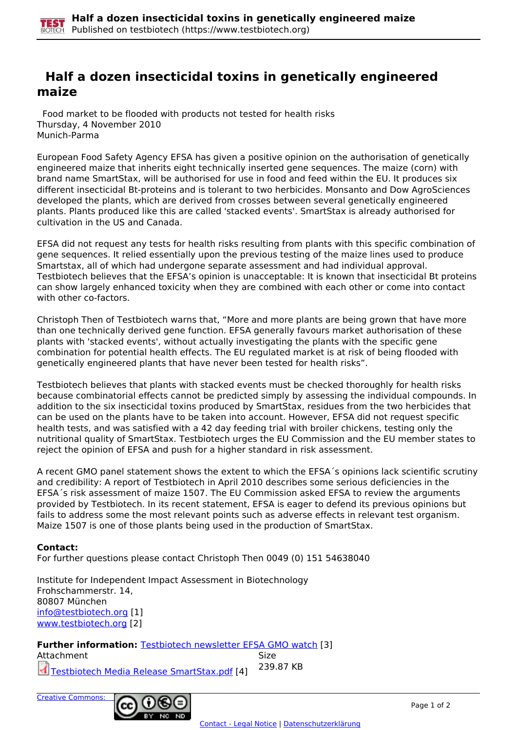## **Half a dozen insecticidal toxins in genetically engineered maize**

 Food market to be flooded with products not tested for health risks Thursday, 4 November 2010 Munich-Parma

European Food Safety Agency EFSA has given a positive opinion on the authorisation of genetically engineered maize that inherits eight technically inserted gene sequences. The maize (corn) with brand name SmartStax, will be authorised for use in food and feed within the EU. It produces six different insecticidal Bt-proteins and is tolerant to two herbicides. Monsanto and Dow AgroSciences developed the plants, which are derived from crosses between several genetically engineered plants. Plants produced like this are called 'stacked events'. SmartStax is already authorised for cultivation in the US and Canada.

EFSA did not request any tests for health risks resulting from plants with this specific combination of gene sequences. It relied essentially upon the previous testing of the maize lines used to produce Smartstax, all of which had undergone separate assessment and had individual approval. Testbiotech believes that the EFSA's opinion is unacceptable: It is known that insecticidal Bt proteins can show largely enhanced toxicity when they are combined with each other or come into contact with other co-factors.

Christoph Then of Testbiotech warns that, "More and more plants are being grown that have more than one technically derived gene function. EFSA generally favours market authorisation of these plants with 'stacked events', without actually investigating the plants with the specific gene combination for potential health effects. The EU regulated market is at risk of being flooded with genetically engineered plants that have never been tested for health risks".

Testbiotech believes that plants with stacked events must be checked thoroughly for health risks because combinatorial effects cannot be predicted simply by assessing the individual compounds. In addition to the six insecticidal toxins produced by SmartStax, residues from the two herbicides that can be used on the plants have to be taken into account. However, EFSA did not request specific health tests, and was satisfied with a 42 day feeding trial with broiler chickens, testing only the nutritional quality of SmartStax. Testbiotech urges the EU Commission and the EU member states to reject the opinion of EFSA and push for a higher standard in risk assessment.

A recent GMO panel statement shows the extent to which the EFSA´s opinions lack scientific scrutiny and credibility: A report of Testbiotech in April 2010 describes some serious deficiencies in the EFSA´s risk assessment of maize 1507. The EU Commission asked EFSA to review the arguments provided by Testbiotech. In its recent statement, EFSA is eager to defend its previous opinions but fails to address some the most relevant points such as adverse effects in relevant test organism. Maize 1507 is one of those plants being used in the production of SmartStax.

## **Contact:**

For further questions please contact Christoph Then 0049 (0) 151 54638040

Institute for Independent Impact Assessment in Biotechnology Frohschammerstr. 14, 80807 München [info@testbiotech.org](mailto:info@testbiotech.org) [1] www.testbiotech.org [2]

**Further information:** Testbiotech newsletter EFSA GMO watch [3] Attachment Size Testbiotech Media Release SmartStax.pdf [4] 239.87 KB